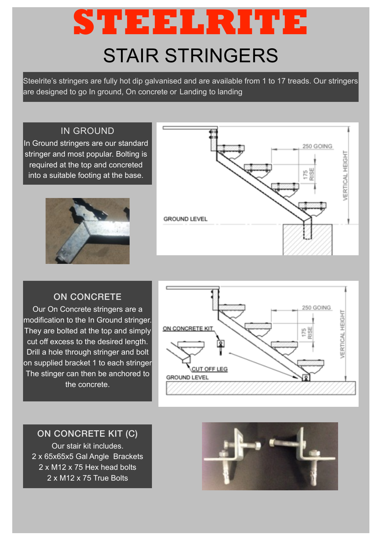# STAIR STRINGERS **STEELRITE**

Steelrite's stringers are fully hot dip galvanised and are available from 1 to 17 treads. Our stringers are designed to go In ground, On concrete or Landing to landing

## IN GROUND

In Ground stringers are our standard stringer and most popular. Bolting is required at the top and concreted into a suitable footing at the base.





## ON CONCRETE

Our On Concrete stringers are a modification to the In Ground stringer. They are bolted at the top and simply cut off excess to the desired length. Drill a hole through stringer and bolt on supplied bracket 1 to each stringer The stinger can then be anchored to the concrete.



### ON CONCRETE KIT (C)

Our stair kit includes. 2 x 65x65x5 Gal Angle Brackets 2 x M12 x 75 Hex head bolts 2 x M12 x 75 True Bolts